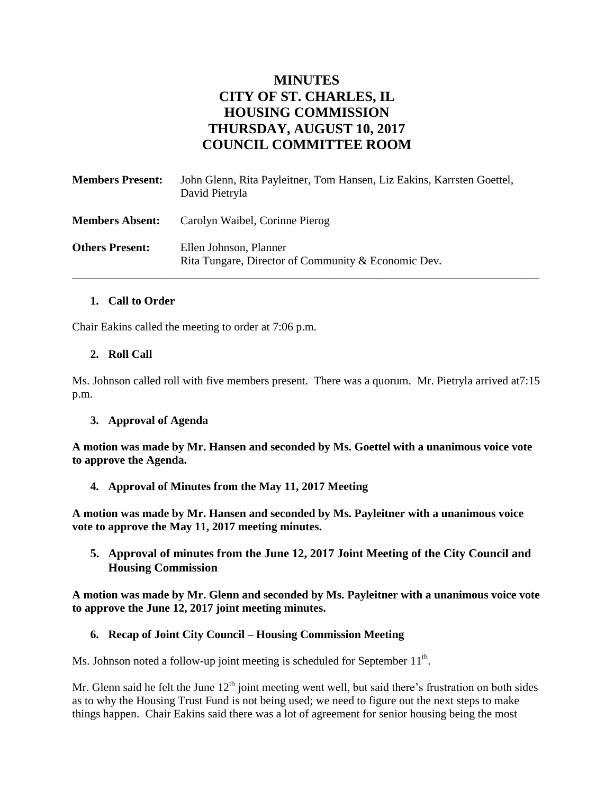# **MINUTES CITY OF ST. CHARLES, IL HOUSING COMMISSION THURSDAY, AUGUST 10, 2017 COUNCIL COMMITTEE ROOM**

| <b>Members Present:</b> | John Glenn, Rita Payleitner, Tom Hansen, Liz Eakins, Karrsten Goettel,<br>David Pietryla |
|-------------------------|------------------------------------------------------------------------------------------|
| <b>Members Absent:</b>  | Carolyn Waibel, Corinne Pierog                                                           |
| <b>Others Present:</b>  | Ellen Johnson, Planner<br>Rita Tungare, Director of Community & Economic Dev.            |

# **1. Call to Order**

Chair Eakins called the meeting to order at 7:06 p.m.

### **2. Roll Call**

Ms. Johnson called roll with five members present. There was a quorum. Mr. Pietryla arrived at7:15 p.m.

#### **3. Approval of Agenda**

**A motion was made by Mr. Hansen and seconded by Ms. Goettel with a unanimous voice vote to approve the Agenda.**

**4. Approval of Minutes from the May 11, 2017 Meeting** 

**A motion was made by Mr. Hansen and seconded by Ms. Payleitner with a unanimous voice vote to approve the May 11, 2017 meeting minutes.** 

**5. Approval of minutes from the June 12, 2017 Joint Meeting of the City Council and Housing Commission**

**A motion was made by Mr. Glenn and seconded by Ms. Payleitner with a unanimous voice vote to approve the June 12, 2017 joint meeting minutes.** 

#### **6. Recap of Joint City Council – Housing Commission Meeting**

Ms. Johnson noted a follow-up joint meeting is scheduled for September  $11<sup>th</sup>$ .

Mr. Glenn said he felt the June  $12<sup>th</sup>$  joint meeting went well, but said there's frustration on both sides as to why the Housing Trust Fund is not being used; we need to figure out the next steps to make things happen. Chair Eakins said there was a lot of agreement for senior housing being the most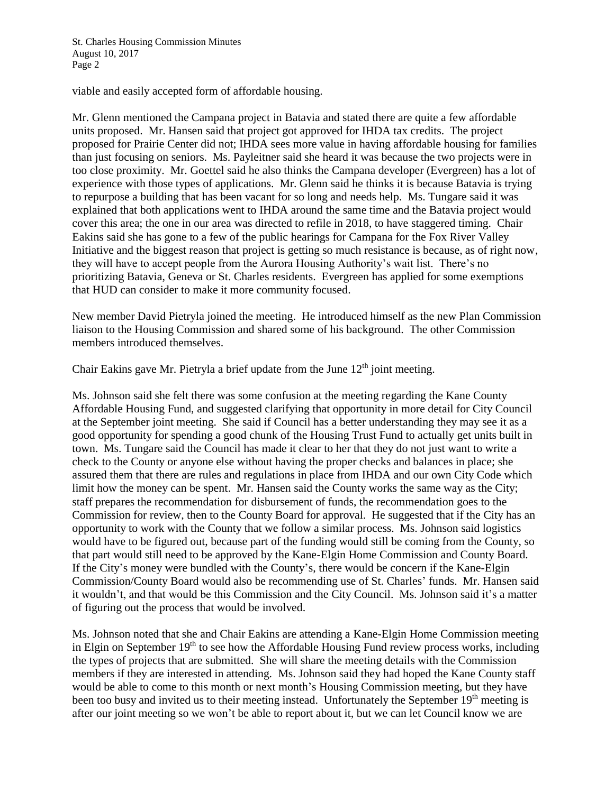viable and easily accepted form of affordable housing.

Mr. Glenn mentioned the Campana project in Batavia and stated there are quite a few affordable units proposed. Mr. Hansen said that project got approved for IHDA tax credits. The project proposed for Prairie Center did not; IHDA sees more value in having affordable housing for families than just focusing on seniors. Ms. Payleitner said she heard it was because the two projects were in too close proximity. Mr. Goettel said he also thinks the Campana developer (Evergreen) has a lot of experience with those types of applications. Mr. Glenn said he thinks it is because Batavia is trying to repurpose a building that has been vacant for so long and needs help. Ms. Tungare said it was explained that both applications went to IHDA around the same time and the Batavia project would cover this area; the one in our area was directed to refile in 2018, to have staggered timing. Chair Eakins said she has gone to a few of the public hearings for Campana for the Fox River Valley Initiative and the biggest reason that project is getting so much resistance is because, as of right now, they will have to accept people from the Aurora Housing Authority's wait list. There's no prioritizing Batavia, Geneva or St. Charles residents. Evergreen has applied for some exemptions that HUD can consider to make it more community focused.

New member David Pietryla joined the meeting. He introduced himself as the new Plan Commission liaison to the Housing Commission and shared some of his background. The other Commission members introduced themselves.

Chair Eakins gave Mr. Pietryla a brief update from the June  $12<sup>th</sup>$  joint meeting.

Ms. Johnson said she felt there was some confusion at the meeting regarding the Kane County Affordable Housing Fund, and suggested clarifying that opportunity in more detail for City Council at the September joint meeting. She said if Council has a better understanding they may see it as a good opportunity for spending a good chunk of the Housing Trust Fund to actually get units built in town. Ms. Tungare said the Council has made it clear to her that they do not just want to write a check to the County or anyone else without having the proper checks and balances in place; she assured them that there are rules and regulations in place from IHDA and our own City Code which limit how the money can be spent. Mr. Hansen said the County works the same way as the City; staff prepares the recommendation for disbursement of funds, the recommendation goes to the Commission for review, then to the County Board for approval. He suggested that if the City has an opportunity to work with the County that we follow a similar process. Ms. Johnson said logistics would have to be figured out, because part of the funding would still be coming from the County, so that part would still need to be approved by the Kane-Elgin Home Commission and County Board. If the City's money were bundled with the County's, there would be concern if the Kane-Elgin Commission/County Board would also be recommending use of St. Charles' funds. Mr. Hansen said it wouldn't, and that would be this Commission and the City Council. Ms. Johnson said it's a matter of figuring out the process that would be involved.

Ms. Johnson noted that she and Chair Eakins are attending a Kane-Elgin Home Commission meeting in Elgin on September  $19<sup>th</sup>$  to see how the Affordable Housing Fund review process works, including the types of projects that are submitted. She will share the meeting details with the Commission members if they are interested in attending. Ms. Johnson said they had hoped the Kane County staff would be able to come to this month or next month's Housing Commission meeting, but they have been too busy and invited us to their meeting instead. Unfortunately the September 19<sup>th</sup> meeting is after our joint meeting so we won't be able to report about it, but we can let Council know we are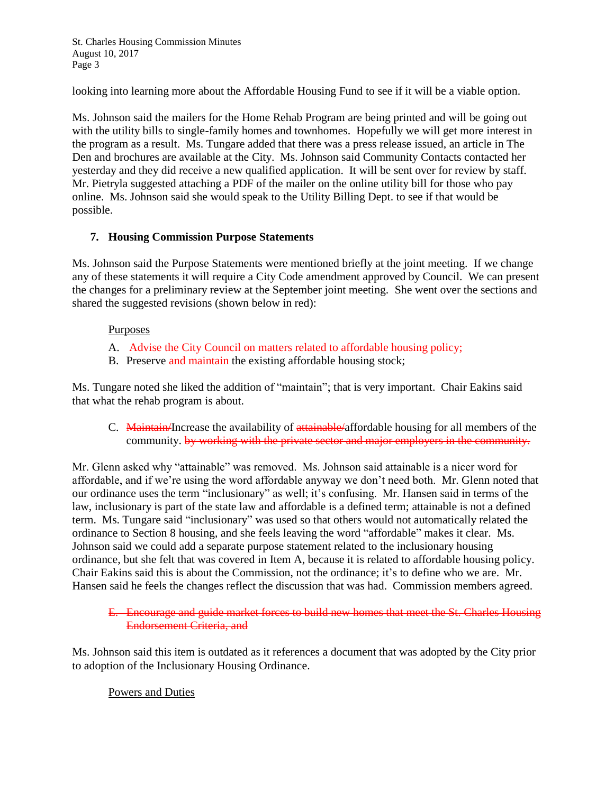looking into learning more about the Affordable Housing Fund to see if it will be a viable option.

Ms. Johnson said the mailers for the Home Rehab Program are being printed and will be going out with the utility bills to single-family homes and townhomes. Hopefully we will get more interest in the program as a result. Ms. Tungare added that there was a press release issued, an article in The Den and brochures are available at the City. Ms. Johnson said Community Contacts contacted her yesterday and they did receive a new qualified application. It will be sent over for review by staff. Mr. Pietryla suggested attaching a PDF of the mailer on the online utility bill for those who pay online. Ms. Johnson said she would speak to the Utility Billing Dept. to see if that would be possible.

### **7. Housing Commission Purpose Statements**

Ms. Johnson said the Purpose Statements were mentioned briefly at the joint meeting. If we change any of these statements it will require a City Code amendment approved by Council. We can present the changes for a preliminary review at the September joint meeting. She went over the sections and shared the suggested revisions (shown below in red):

#### **Purposes**

- A. Advise the City Council on matters related to affordable housing policy;
- B. Preserve and maintain the existing affordable housing stock;

Ms. Tungare noted she liked the addition of "maintain"; that is very important. Chair Eakins said that what the rehab program is about.

C. Maintain/Increase the availability of attainable/affordable housing for all members of the community. by working with the private sector and major employers in the community.

Mr. Glenn asked why "attainable" was removed. Ms. Johnson said attainable is a nicer word for affordable, and if we're using the word affordable anyway we don't need both. Mr. Glenn noted that our ordinance uses the term "inclusionary" as well; it's confusing. Mr. Hansen said in terms of the law, inclusionary is part of the state law and affordable is a defined term; attainable is not a defined term. Ms. Tungare said "inclusionary" was used so that others would not automatically related the ordinance to Section 8 housing, and she feels leaving the word "affordable" makes it clear. Ms. Johnson said we could add a separate purpose statement related to the inclusionary housing ordinance, but she felt that was covered in Item A, because it is related to affordable housing policy. Chair Eakins said this is about the Commission, not the ordinance; it's to define who we are. Mr. Hansen said he feels the changes reflect the discussion that was had. Commission members agreed.

## E. Encourage and guide market forces to build new homes that meet the St. Charles Housing Endorsement Criteria, and

Ms. Johnson said this item is outdated as it references a document that was adopted by the City prior to adoption of the Inclusionary Housing Ordinance.

# Powers and Duties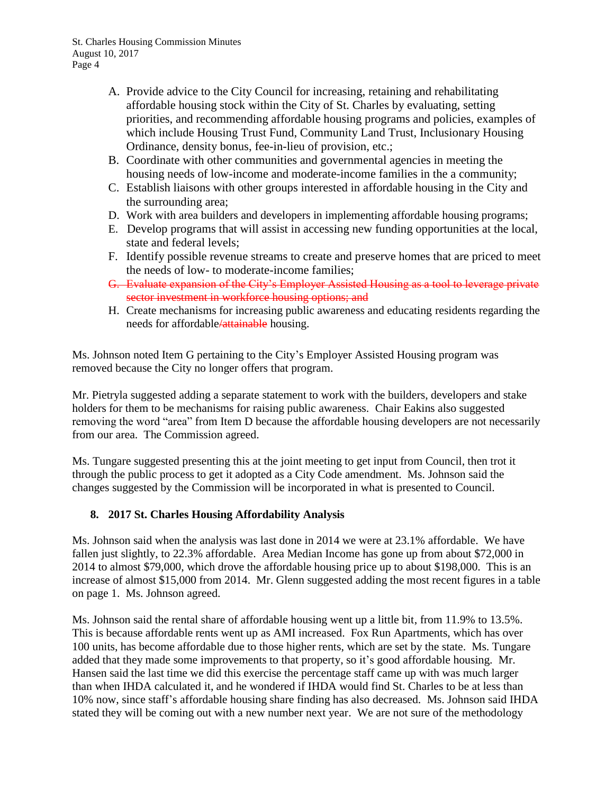- A. Provide advice to the City Council for increasing, retaining and rehabilitating affordable housing stock within the City of St. Charles by evaluating, setting priorities, and recommending affordable housing programs and policies, examples of which include Housing Trust Fund, Community Land Trust, Inclusionary Housing Ordinance, density bonus, fee-in-lieu of provision, etc.;
- B. Coordinate with other communities and governmental agencies in meeting the housing needs of low-income and moderate-income families in the a community;
- C. Establish liaisons with other groups interested in affordable housing in the City and the surrounding area;
- D. Work with area builders and developers in implementing affordable housing programs;
- E. Develop programs that will assist in accessing new funding opportunities at the local, state and federal levels;
- F. Identify possible revenue streams to create and preserve homes that are priced to meet the needs of low- to moderate-income families;
- G. Evaluate expansion of the City's Employer Assisted Housing as a tool to leverage private sector investment in workforce housing options; and
- H. Create mechanisms for increasing public awareness and educating residents regarding the needs for affordable/attainable housing.

Ms. Johnson noted Item G pertaining to the City's Employer Assisted Housing program was removed because the City no longer offers that program.

Mr. Pietryla suggested adding a separate statement to work with the builders, developers and stake holders for them to be mechanisms for raising public awareness. Chair Eakins also suggested removing the word "area" from Item D because the affordable housing developers are not necessarily from our area. The Commission agreed.

Ms. Tungare suggested presenting this at the joint meeting to get input from Council, then trot it through the public process to get it adopted as a City Code amendment. Ms. Johnson said the changes suggested by the Commission will be incorporated in what is presented to Council.

# **8. 2017 St. Charles Housing Affordability Analysis**

Ms. Johnson said when the analysis was last done in 2014 we were at 23.1% affordable. We have fallen just slightly, to 22.3% affordable. Area Median Income has gone up from about \$72,000 in 2014 to almost \$79,000, which drove the affordable housing price up to about \$198,000. This is an increase of almost \$15,000 from 2014. Mr. Glenn suggested adding the most recent figures in a table on page 1. Ms. Johnson agreed.

Ms. Johnson said the rental share of affordable housing went up a little bit, from 11.9% to 13.5%. This is because affordable rents went up as AMI increased. Fox Run Apartments, which has over 100 units, has become affordable due to those higher rents, which are set by the state. Ms. Tungare added that they made some improvements to that property, so it's good affordable housing. Mr. Hansen said the last time we did this exercise the percentage staff came up with was much larger than when IHDA calculated it, and he wondered if IHDA would find St. Charles to be at less than 10% now, since staff's affordable housing share finding has also decreased. Ms. Johnson said IHDA stated they will be coming out with a new number next year. We are not sure of the methodology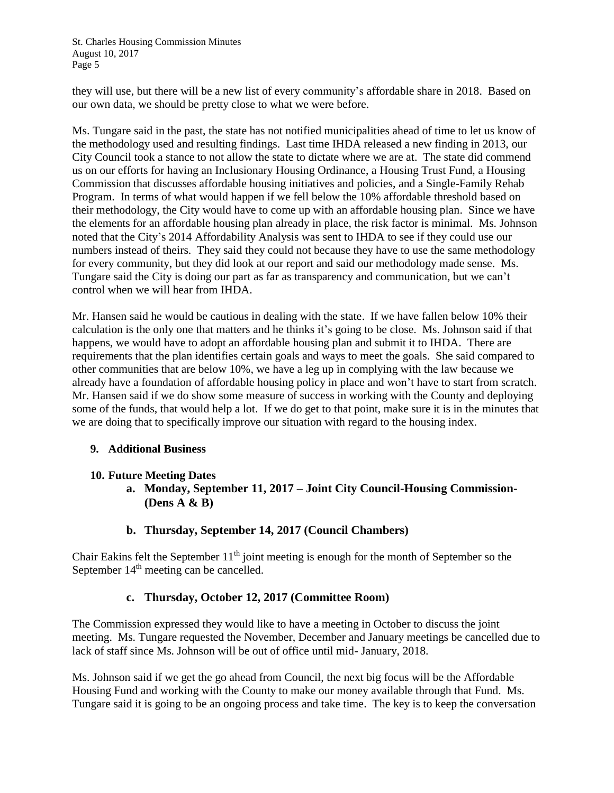they will use, but there will be a new list of every community's affordable share in 2018. Based on our own data, we should be pretty close to what we were before.

Ms. Tungare said in the past, the state has not notified municipalities ahead of time to let us know of the methodology used and resulting findings. Last time IHDA released a new finding in 2013, our City Council took a stance to not allow the state to dictate where we are at. The state did commend us on our efforts for having an Inclusionary Housing Ordinance, a Housing Trust Fund, a Housing Commission that discusses affordable housing initiatives and policies, and a Single-Family Rehab Program. In terms of what would happen if we fell below the 10% affordable threshold based on their methodology, the City would have to come up with an affordable housing plan. Since we have the elements for an affordable housing plan already in place, the risk factor is minimal. Ms. Johnson noted that the City's 2014 Affordability Analysis was sent to IHDA to see if they could use our numbers instead of theirs. They said they could not because they have to use the same methodology for every community, but they did look at our report and said our methodology made sense. Ms. Tungare said the City is doing our part as far as transparency and communication, but we can't control when we will hear from IHDA.

Mr. Hansen said he would be cautious in dealing with the state. If we have fallen below 10% their calculation is the only one that matters and he thinks it's going to be close. Ms. Johnson said if that happens, we would have to adopt an affordable housing plan and submit it to IHDA. There are requirements that the plan identifies certain goals and ways to meet the goals. She said compared to other communities that are below 10%, we have a leg up in complying with the law because we already have a foundation of affordable housing policy in place and won't have to start from scratch. Mr. Hansen said if we do show some measure of success in working with the County and deploying some of the funds, that would help a lot. If we do get to that point, make sure it is in the minutes that we are doing that to specifically improve our situation with regard to the housing index.

# **9. Additional Business**

# **10. Future Meeting Dates**

- **a. Monday, September 11, 2017 – Joint City Council-Housing Commission- (Dens A & B)**
- **b. Thursday, September 14, 2017 (Council Chambers)**

Chair Eakins felt the September  $11<sup>th</sup>$  joint meeting is enough for the month of September so the September  $14<sup>th</sup>$  meeting can be cancelled.

# **c. Thursday, October 12, 2017 (Committee Room)**

The Commission expressed they would like to have a meeting in October to discuss the joint meeting. Ms. Tungare requested the November, December and January meetings be cancelled due to lack of staff since Ms. Johnson will be out of office until mid- January, 2018.

Ms. Johnson said if we get the go ahead from Council, the next big focus will be the Affordable Housing Fund and working with the County to make our money available through that Fund. Ms. Tungare said it is going to be an ongoing process and take time. The key is to keep the conversation